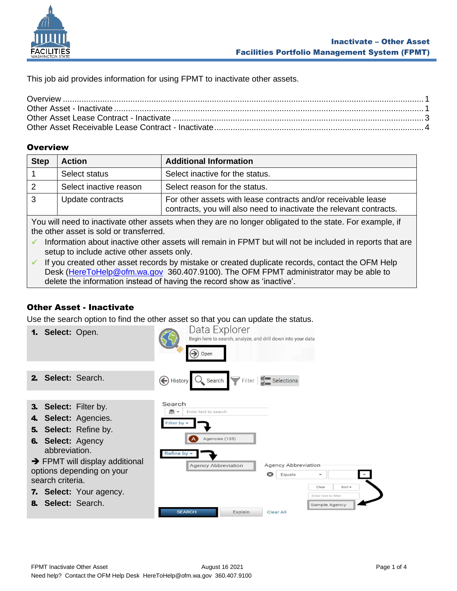

This job aid provides information for using FPMT to inactivate other assets.

## <span id="page-0-0"></span>**Overview**

| <b>Step</b> | <b>Action</b>          | <b>Additional Information</b>                                                                                                        |
|-------------|------------------------|--------------------------------------------------------------------------------------------------------------------------------------|
|             | Select status          | Select inactive for the status.                                                                                                      |
| 2           | Select inactive reason | Select reason for the status.                                                                                                        |
| 3           | Update contracts       | For other assets with lease contracts and/or receivable lease<br>contracts, you will also need to inactivate the relevant contracts. |

You will need to inactivate other assets when they are no longer obligated to the state. For example, if the other asset is sold or transferred.

- ✓ Information about inactive other assets will remain in FPMT but will not be included in reports that are setup to include active other assets only.
- ✓ If you created other asset records by mistake or created duplicate records, contact the OFM Help Desk [\(HereToHelp@ofm.wa.gov](mailto:HereToHelp@ofm.wa.gov) 360.407.9100). The OFM FPMT administrator may be able to delete the information instead of having the record show as 'inactive'.

# <span id="page-0-1"></span>Other Asset - Inactivate

Use the search option to find the other asset so that you can update the status.

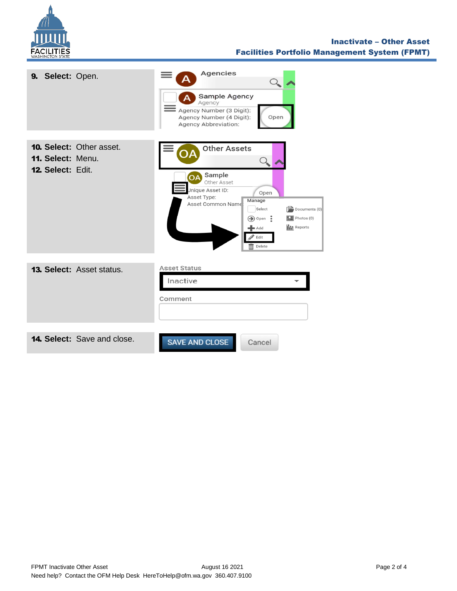

#### Inactivate – Other Asset Facilities Portfolio Management System (FPMT)

| 9. Select: Open.                                                   | Agencies<br>Sample Agency<br>Agency<br>Agency Number (3 Digit):<br>Agency Number (4 Digit):<br>Open<br><b>Agency Abbreviation:</b>                                                                                                                                                                                                                        |
|--------------------------------------------------------------------|-----------------------------------------------------------------------------------------------------------------------------------------------------------------------------------------------------------------------------------------------------------------------------------------------------------------------------------------------------------|
| 10. Select: Other asset.<br>11. Select: Menu.<br>12. Select: Edit. | <b>Other Assets</b><br>Sample<br><b>OA</b><br>Other Asset<br>Jnique Asset ID:<br>Open<br>Asset Type:<br>Manage<br>Asset Common Name<br>Select<br>$\left[\frac{1}{2}\right]$ Documents (0)<br>$\triangleright$ Photos (0)<br>$\bigcirc$ Open :<br><b>I</b> II Reports<br>$\blacktriangleright$ Add<br>$\mathscr{D}$ Edit<br>$\overline{\mathbb{m}}$ Delete |
| <b>13. Select: Asset status.</b>                                   | <b>Asset Status</b><br>Inactive<br>Comment                                                                                                                                                                                                                                                                                                                |
| <b>14. Select:</b> Save and close.                                 | <b>SAVE AND CLOSE</b><br>Cancel                                                                                                                                                                                                                                                                                                                           |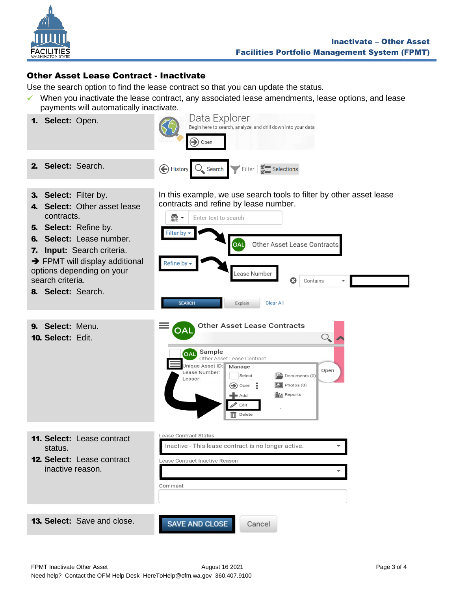

## <span id="page-2-0"></span>Other Asset Lease Contract - Inactivate

Use the search option to find the lease contract so that you can update the status.

✓ When you inactivate the lease contract, any associated lease amendments, lease options, and lease payments will automatically inactivate.

| 1. Select: Open.                                                                                                                                                                                                                                                | Data Explorer<br>Begin here to search, analyze, and drill down into your data<br>$\bigodot$ Open                                                                                                                                                                                                                                                                                                                  |
|-----------------------------------------------------------------------------------------------------------------------------------------------------------------------------------------------------------------------------------------------------------------|-------------------------------------------------------------------------------------------------------------------------------------------------------------------------------------------------------------------------------------------------------------------------------------------------------------------------------------------------------------------------------------------------------------------|
| 2. Select: Search.                                                                                                                                                                                                                                              | History O Search Filter # Selections                                                                                                                                                                                                                                                                                                                                                                              |
| 3. Select: Filter by.<br>4. Select: Other asset lease<br>contracts.<br>5. Select: Refine by.<br>6. Select: Lease number.<br>7. Input: Search criteria.<br>→ FPMT will display additional<br>options depending on your<br>search criteria.<br>8. Select: Search. | In this example, we use search tools to filter by other asset lease<br>contracts and refine by lease number.<br>$rac{1}{\triangle$<br>Enter text to search<br>Filter by<br>Other Asset Lease Contracts<br>OAL<br>Refine by $\overline{\phantom{a}}$<br>Lease Number<br>Ø<br>Contains<br><b>SEARCH</b><br>Explain<br><b>Clear All</b>                                                                              |
| 9. Select: Menu.<br>10. Select: Edit.                                                                                                                                                                                                                           | <b>Other Asset Lease Contracts</b><br>OAL<br>Q.<br>Sample<br><b>OAL</b><br>Other Asset Lease Contract<br>Jnique Asset ID:<br>Manage<br>Open<br>Lease Number:<br>Select<br>$\mathbb{P}^{\mathbb{Z}}$ Documents (0)<br>Lessor:<br>$\boxed{2}$ Photos (0)<br>$\left(\rightarrow\right)$ Open $\frac{3}{2}$<br><b>III</b> Reports<br>$\blacktriangleright$ Add<br>Edit <sup>*</sup><br>$\overline{\mathbb{H}}$ Delete |
| 11. Select: Lease contract<br>status.<br><b>12. Select: Lease contract</b><br>inactive reason.                                                                                                                                                                  | Lease Contract Status<br>Inactive - This lease contract is no longer active.<br>Lease Contract Inactive Reason<br>Comment                                                                                                                                                                                                                                                                                         |
| <b>13. Select:</b> Save and close.                                                                                                                                                                                                                              | <b>SAVE AND CLOSE</b><br>Cancel                                                                                                                                                                                                                                                                                                                                                                                   |